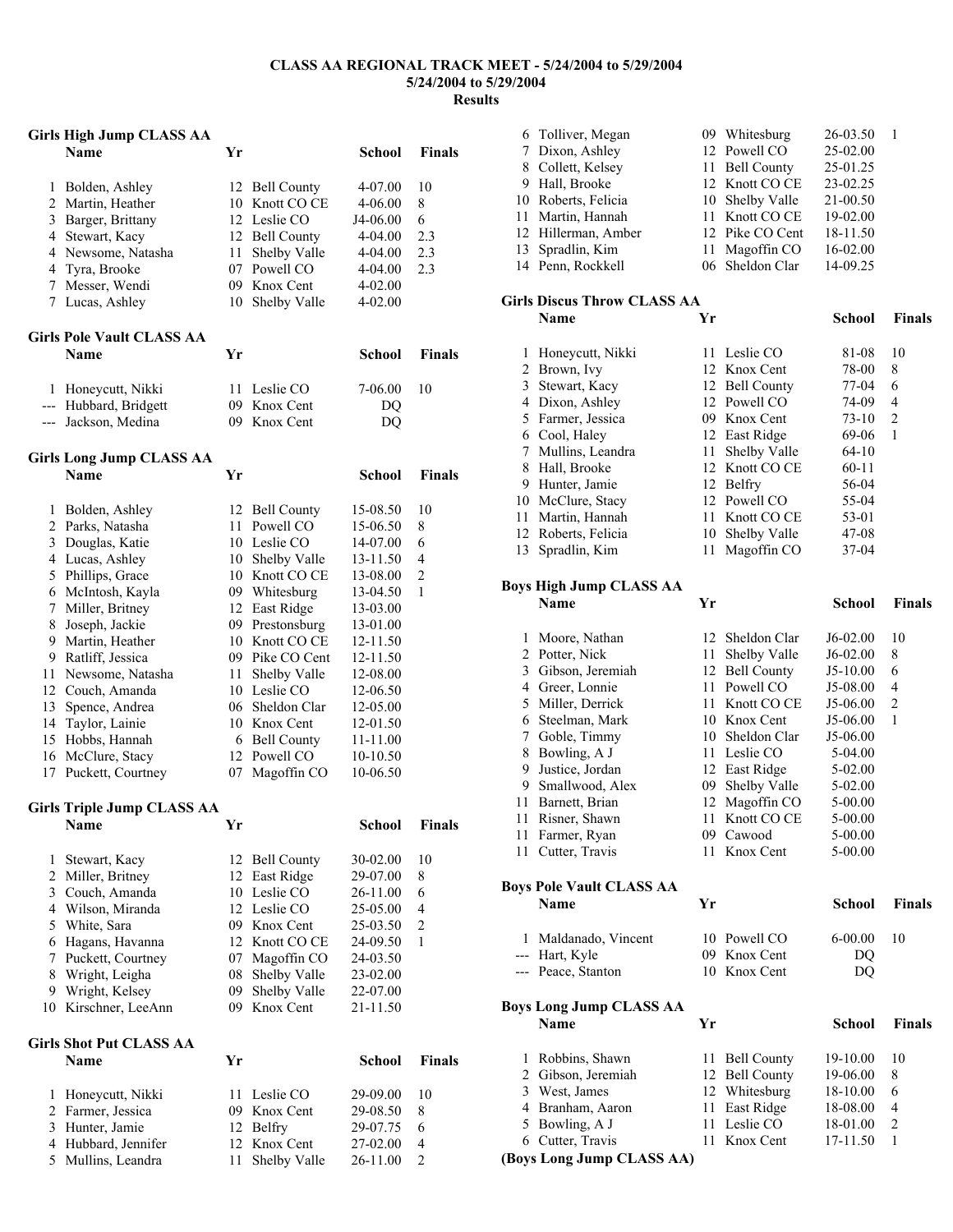## **CLASS AA REGIONAL TRACK MEET - 5/24/2004 to 5/29/2004 5/24/2004 to 5/29/2004 Results**

|                | <b>Girls High Jump CLASS AA</b>   |    |                    |                    |                |
|----------------|-----------------------------------|----|--------------------|--------------------|----------------|
|                | <b>Name</b>                       | Yr |                    | <b>School</b>      | <b>Finals</b>  |
| 1              |                                   | 12 | <b>Bell County</b> |                    | 10             |
| $\overline{c}$ | Bolden, Ashley<br>Martin, Heather |    | 10 Knott CO CE     | 4-07.00<br>4-06.00 | 8              |
|                | 3 Barger, Brittany                |    | 12 Leslie CO       | J4-06.00           | 6              |
|                | 4 Stewart, Kacy                   |    | 12 Bell County     | 4-04.00            | 2.3            |
|                | 4 Newsome, Natasha                | 11 | Shelby Valle       | 4-04.00            | 2.3            |
| 4              | Tyra, Brooke                      |    | 07 Powell CO       | 4-04.00            | 2.3            |
| 7              | Messer, Wendi                     |    | 09 Knox Cent       | 4-02.00            |                |
|                | 7 Lucas, Ashley                   | 10 | Shelby Valle       | 4-02.00            |                |
|                | <b>Girls Pole Vault CLASS AA</b>  |    |                    |                    |                |
|                | <b>Name</b>                       | Yr |                    | <b>School</b>      | <b>Finals</b>  |
|                | 1 Honeycutt, Nikki                | 11 | Leslie CO          | 7-06.00            | 10             |
|                | --- Hubbard, Bridgett             |    | 09 Knox Cent       | DQ                 |                |
|                | --- Jackson, Medina               |    | 09 Knox Cent       | DQ                 |                |
|                | <b>Girls Long Jump CLASS AA</b>   |    |                    |                    |                |
|                | <b>Name</b>                       | Yr |                    | <b>School</b>      | <b>Finals</b>  |
| 1              | Bolden, Ashley                    | 12 | <b>Bell County</b> | 15-08.50           | 10             |
|                | 2 Parks, Natasha                  | 11 | Powell CO          | 15-06.50           | 8              |
|                | 3 Douglas, Katie                  |    | 10 Leslie CO       | 14-07.00           | 6              |
|                | 4 Lucas, Ashley                   |    | 10 Shelby Valle    | 13-11.50           | 4              |
|                | 5 Phillips, Grace                 |    | 10 Knott CO CE     | 13-08.00           | $\overline{c}$ |
|                | 6 McIntosh, Kayla                 |    | 09 Whitesburg      | 13-04.50           | $\mathbf{1}$   |
|                | 7 Miller, Britney                 |    | 12 East Ridge      | 13-03.00           |                |
| 8              | Joseph, Jackie                    |    | 09 Prestonsburg    | 13-01.00           |                |
| 9              | Martin, Heather                   |    | 10 Knott CO CE     | 12-11.50           |                |
|                | 9 Ratliff, Jessica                |    | 09 Pike CO Cent    | 12-11.50           |                |
|                | 11 Newsome, Natasha               |    | 11 Shelby Valle    | 12-08.00           |                |
| 12             | Couch, Amanda                     |    | 10 Leslie CO       | 12-06.50           |                |
| 13             | Spence, Andrea                    |    | 06 Sheldon Clar    | 12-05.00           |                |
| 14             | Taylor, Lainie                    |    | 10 Knox Cent       | 12-01.50           |                |
| 15             | Hobbs, Hannah                     |    | 6 Bell County      | 11-11.00           |                |
| 16             | McClure, Stacy                    |    | 12 Powell CO       | 10-10.50           |                |
| 17             | Puckett, Courtney                 | 07 | Magoffin CO        | 10-06.50           |                |
|                | <b>Girls Triple Jump CLASS AA</b> |    |                    |                    |                |
|                | Name                              | Yr |                    | School             | <b>Finals</b>  |
| 1              | Stewart, Kacy                     | 12 | <b>Bell County</b> | 30-02.00           | 10             |
| $\overline{c}$ | Miller, Britney                   | 12 | East Ridge         | 29-07.00           | 8              |
| 3              | Couch, Amanda                     | 10 | Leslie CO          | 26-11.00           | 6              |
| $\overline{4}$ | Wilson, Miranda                   | 12 | Leslie CO          | 25-05.00           | 4              |
| 5              | White, Sara                       |    | 09 Knox Cent       | 25-03.50           | $\overline{c}$ |
| 6              | Hagans, Havanna                   |    | 12 Knott CO CE     | 24-09.50           | 1              |
| 7              | Puckett, Courtney                 | 07 | Magoffin CO        | 24-03.50           |                |
| 8              | Wright, Leigha                    | 08 | Shelby Valle       | 23-02.00           |                |
| 9              | Wright, Kelsey                    | 09 | Shelby Valle       | 22-07.00           |                |
| 10             | Kirschner, LeeAnn                 | 09 | Knox Cent          | 21-11.50           |                |
|                | <b>Girls Shot Put CLASS AA</b>    |    |                    |                    |                |
|                | <b>Name</b>                       | Yr |                    | School             | <b>Finals</b>  |
| 1              | Honeycutt, Nikki                  | 11 | Leslie CO          | 29-09.00           | 10             |
| $\overline{c}$ | Farmer, Jessica                   | 09 | Knox Cent          | 29-08.50           | 8              |
| 3              | Hunter, Jamie                     | 12 | Belfry             | 29-07.75           | 6              |
| 4              | Hubbard, Jennifer                 | 12 | Knox Cent          | 27-02.00           | 4              |
| 5              | Mullins, Leandra                  | 11 | Shelby Valle       | 26-11.00           | $\overline{c}$ |

| 11 | 11 Farmer, Ryan<br>Cutter, Travis<br><b>Boys Pole Vault CLASS AA</b><br><b>Name</b><br>1 Maldanado, Vincent<br>--- Hart, Kyle<br>--- Peace, Stanton<br><b>Boys Long Jump CLASS AA</b><br>Name<br>1 Robbins, Shawn<br>2 Gibson, Jeremiah<br>3 West, James<br>4 Branham, Aaron<br>5 Bowling, A J<br>6 Cutter, Travis | Yr<br>Yr<br>11<br>11<br>11 | 11 Knott CO CE<br>09 Cawood<br>11 Knox Cent<br>10 Powell CO<br>09 Knox Cent<br>10 Knox Cent<br>11 Bell County<br>12 Bell County<br>12 Whitesburg<br>East Ridge<br>Leslie CO<br>Knox Cent | 5-00.00<br>5-00.00<br>5-00.00<br><b>School</b><br>$6 - 00.00$<br>DQ<br>DQ<br>School<br>19-10.00<br>19-06.00<br>18-10.00<br>18-08.00<br>18-01.00<br>17-11.50 | <b>Finals</b><br>10<br><b>Finals</b><br>10<br>8<br>6<br>4<br>$\overline{c}$<br>1 |
|----|--------------------------------------------------------------------------------------------------------------------------------------------------------------------------------------------------------------------------------------------------------------------------------------------------------------------|----------------------------|------------------------------------------------------------------------------------------------------------------------------------------------------------------------------------------|-------------------------------------------------------------------------------------------------------------------------------------------------------------|----------------------------------------------------------------------------------|
|    |                                                                                                                                                                                                                                                                                                                    |                            |                                                                                                                                                                                          |                                                                                                                                                             |                                                                                  |
|    |                                                                                                                                                                                                                                                                                                                    |                            |                                                                                                                                                                                          |                                                                                                                                                             |                                                                                  |
|    |                                                                                                                                                                                                                                                                                                                    |                            |                                                                                                                                                                                          |                                                                                                                                                             |                                                                                  |
|    |                                                                                                                                                                                                                                                                                                                    |                            |                                                                                                                                                                                          |                                                                                                                                                             |                                                                                  |
|    |                                                                                                                                                                                                                                                                                                                    |                            |                                                                                                                                                                                          |                                                                                                                                                             |                                                                                  |
|    |                                                                                                                                                                                                                                                                                                                    |                            |                                                                                                                                                                                          |                                                                                                                                                             |                                                                                  |
|    |                                                                                                                                                                                                                                                                                                                    |                            |                                                                                                                                                                                          |                                                                                                                                                             |                                                                                  |
|    |                                                                                                                                                                                                                                                                                                                    |                            |                                                                                                                                                                                          |                                                                                                                                                             |                                                                                  |
|    |                                                                                                                                                                                                                                                                                                                    |                            |                                                                                                                                                                                          |                                                                                                                                                             |                                                                                  |
|    |                                                                                                                                                                                                                                                                                                                    |                            |                                                                                                                                                                                          |                                                                                                                                                             |                                                                                  |
|    |                                                                                                                                                                                                                                                                                                                    |                            |                                                                                                                                                                                          |                                                                                                                                                             |                                                                                  |
|    |                                                                                                                                                                                                                                                                                                                    |                            |                                                                                                                                                                                          |                                                                                                                                                             |                                                                                  |
|    |                                                                                                                                                                                                                                                                                                                    |                            |                                                                                                                                                                                          |                                                                                                                                                             |                                                                                  |
|    |                                                                                                                                                                                                                                                                                                                    |                            |                                                                                                                                                                                          |                                                                                                                                                             |                                                                                  |
|    |                                                                                                                                                                                                                                                                                                                    |                            |                                                                                                                                                                                          |                                                                                                                                                             |                                                                                  |
|    |                                                                                                                                                                                                                                                                                                                    |                            |                                                                                                                                                                                          |                                                                                                                                                             |                                                                                  |
|    |                                                                                                                                                                                                                                                                                                                    |                            |                                                                                                                                                                                          |                                                                                                                                                             |                                                                                  |
| 11 | Risner, Shawn                                                                                                                                                                                                                                                                                                      |                            |                                                                                                                                                                                          |                                                                                                                                                             |                                                                                  |
| 11 | Barnett, Brian                                                                                                                                                                                                                                                                                                     |                            | 12 Magoffin CO                                                                                                                                                                           | $5 - 00.00$                                                                                                                                                 |                                                                                  |
|    | 9 Smallwood, Alex                                                                                                                                                                                                                                                                                                  | 09                         | Shelby Valle                                                                                                                                                                             | 5-02.00                                                                                                                                                     |                                                                                  |
|    | 9 Justice, Jordan                                                                                                                                                                                                                                                                                                  |                            | 12 East Ridge                                                                                                                                                                            | 5-02.00                                                                                                                                                     |                                                                                  |
|    | 8 Bowling, A J                                                                                                                                                                                                                                                                                                     |                            | 11 Leslie CO                                                                                                                                                                             | 5-04.00                                                                                                                                                     |                                                                                  |
| 7  | Goble, Timmy                                                                                                                                                                                                                                                                                                       |                            | 10 Sheldon Clar                                                                                                                                                                          | J5-06.00                                                                                                                                                    |                                                                                  |
|    | 6 Steelman, Mark                                                                                                                                                                                                                                                                                                   |                            | 10 Knox Cent                                                                                                                                                                             | J5-06.00                                                                                                                                                    | 1                                                                                |
|    | 5 Miller, Derrick                                                                                                                                                                                                                                                                                                  | 11                         | Knott CO CE                                                                                                                                                                              | J5-06.00                                                                                                                                                    | 2                                                                                |
|    | 4 Greer, Lonnie                                                                                                                                                                                                                                                                                                    | 11                         | Powell CO                                                                                                                                                                                | J5-08.00                                                                                                                                                    | 4                                                                                |
|    | 3 Gibson, Jeremiah                                                                                                                                                                                                                                                                                                 |                            | 12 Bell County                                                                                                                                                                           | $J5-10.00$                                                                                                                                                  | 6                                                                                |
|    | 2 Potter, Nick                                                                                                                                                                                                                                                                                                     | 11                         | Shelby Valle                                                                                                                                                                             | $J6-02.00$                                                                                                                                                  | 8                                                                                |
| 1  | Moore, Nathan                                                                                                                                                                                                                                                                                                      |                            | 12 Sheldon Clar                                                                                                                                                                          | $J6-02.00$                                                                                                                                                  | 10                                                                               |
|    | <b>Name</b>                                                                                                                                                                                                                                                                                                        | Yr                         |                                                                                                                                                                                          | School                                                                                                                                                      | <b>Finals</b>                                                                    |
|    | <b>Boys High Jump CLASS AA</b>                                                                                                                                                                                                                                                                                     |                            |                                                                                                                                                                                          |                                                                                                                                                             |                                                                                  |
|    |                                                                                                                                                                                                                                                                                                                    |                            |                                                                                                                                                                                          |                                                                                                                                                             |                                                                                  |
|    | 13 Spradlin, Kim                                                                                                                                                                                                                                                                                                   | 11                         | Magoffin CO                                                                                                                                                                              | 37-04                                                                                                                                                       |                                                                                  |
|    | 12 Roberts, Felicia                                                                                                                                                                                                                                                                                                |                            | 10 Shelby Valle                                                                                                                                                                          | 47-08                                                                                                                                                       |                                                                                  |
|    | 11 Martin, Hannah                                                                                                                                                                                                                                                                                                  |                            | 11 Knott CO CE                                                                                                                                                                           | 53-01                                                                                                                                                       |                                                                                  |
|    | 10 McClure, Stacy                                                                                                                                                                                                                                                                                                  |                            | 12 Powell CO                                                                                                                                                                             | 55-04                                                                                                                                                       |                                                                                  |
|    | 9 Hunter, Jamie                                                                                                                                                                                                                                                                                                    |                            | 12 Belfry                                                                                                                                                                                | 56-04                                                                                                                                                       |                                                                                  |
|    | 8 Hall, Brooke                                                                                                                                                                                                                                                                                                     |                            | 12 Knott CO CE                                                                                                                                                                           | $60 - 11$                                                                                                                                                   |                                                                                  |
|    | 7 Mullins, Leandra                                                                                                                                                                                                                                                                                                 | 11                         | Shelby Valle                                                                                                                                                                             | 64-10                                                                                                                                                       |                                                                                  |
|    | 6 Cool, Haley                                                                                                                                                                                                                                                                                                      |                            | 12 East Ridge                                                                                                                                                                            | 69-06                                                                                                                                                       | 1                                                                                |
|    | 5 Farmer, Jessica                                                                                                                                                                                                                                                                                                  |                            | 09 Knox Cent                                                                                                                                                                             | $73-10$                                                                                                                                                     | 2                                                                                |
|    | 4 Dixon, Ashley                                                                                                                                                                                                                                                                                                    |                            | 12 Powell CO                                                                                                                                                                             | 74-09                                                                                                                                                       | $\overline{4}$                                                                   |
|    | 3 Stewart, Kacy                                                                                                                                                                                                                                                                                                    |                            | 12 Bell County                                                                                                                                                                           | 77-04                                                                                                                                                       | 6                                                                                |
|    | 2 Brown, Ivy                                                                                                                                                                                                                                                                                                       |                            | 12 Knox Cent                                                                                                                                                                             | 78-00                                                                                                                                                       | 8                                                                                |
| 1  | Honeycutt, Nikki                                                                                                                                                                                                                                                                                                   | 11                         | Leslie CO                                                                                                                                                                                | 81-08                                                                                                                                                       | 10                                                                               |
|    | Name                                                                                                                                                                                                                                                                                                               | Yr                         |                                                                                                                                                                                          | <b>School</b>                                                                                                                                               | <b>Finals</b>                                                                    |
|    | <b>Girls Discus Throw CLASS AA</b>                                                                                                                                                                                                                                                                                 |                            |                                                                                                                                                                                          |                                                                                                                                                             |                                                                                  |
|    |                                                                                                                                                                                                                                                                                                                    |                            |                                                                                                                                                                                          |                                                                                                                                                             |                                                                                  |
|    | 14 Penn, Rockkell                                                                                                                                                                                                                                                                                                  | 06                         | Sheldon Clar                                                                                                                                                                             | 14-09.25                                                                                                                                                    |                                                                                  |
| 13 | Spradlin, Kim                                                                                                                                                                                                                                                                                                      | 11                         | Magoffin CO                                                                                                                                                                              | 16-02.00                                                                                                                                                    |                                                                                  |
|    | 12 Hillerman, Amber                                                                                                                                                                                                                                                                                                |                            | 12 Pike CO Cent                                                                                                                                                                          | 18-11.50                                                                                                                                                    |                                                                                  |
|    | 11 Martin, Hannah                                                                                                                                                                                                                                                                                                  |                            | 11 Knott CO CE                                                                                                                                                                           | 19-02.00                                                                                                                                                    |                                                                                  |
|    | 10 Roberts, Felicia                                                                                                                                                                                                                                                                                                |                            | 10 Shelby Valle                                                                                                                                                                          | 21-00.50                                                                                                                                                    |                                                                                  |
|    | 9 Hall, Brooke                                                                                                                                                                                                                                                                                                     |                            | 12 Knott CO CE                                                                                                                                                                           | 23-02.25                                                                                                                                                    |                                                                                  |
|    | 8 Collett, Kelsey                                                                                                                                                                                                                                                                                                  | 11                         | <b>Bell County</b>                                                                                                                                                                       | 25-01.25                                                                                                                                                    |                                                                                  |
|    | 7 Dixon, Ashley                                                                                                                                                                                                                                                                                                    |                            | 12 Powell CO                                                                                                                                                                             | 25-02.00                                                                                                                                                    |                                                                                  |
|    | 6 Tolliver, Megan                                                                                                                                                                                                                                                                                                  |                            | 09 Whitesburg                                                                                                                                                                            | 26-03.50                                                                                                                                                    | 1                                                                                |